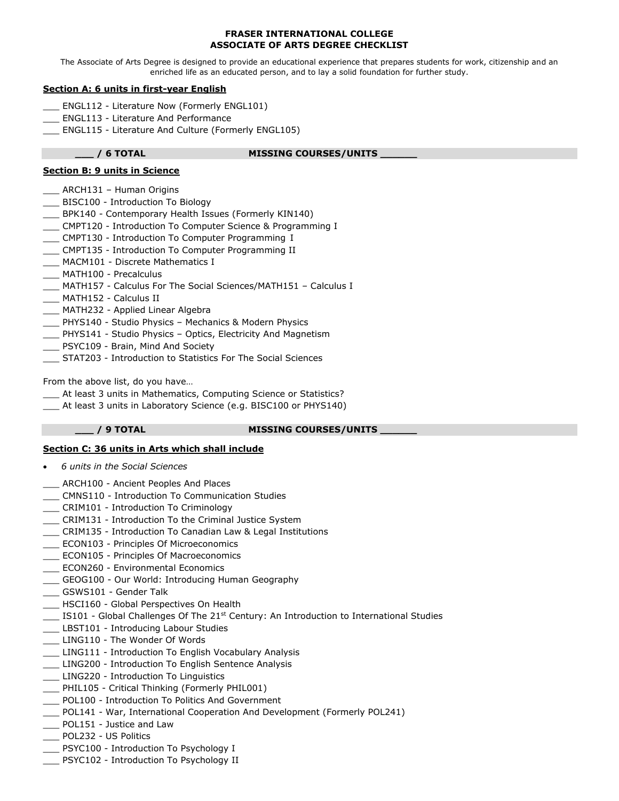### **FRASER INTERNATIONAL COLLEGE ASSOCIATE OF ARTS DEGREE CHECKLIST**

The Associate of Arts Degree is designed to provide an educational experience that prepares students for work, citizenship and an enriched life as an educated person, and to lay a solid foundation for further study.

# **Section A: 6 units in first-year English**

- \_\_\_ ENGL112 Literature Now (Formerly ENGL101)
- \_\_\_ ENGL113 Literature And Performance
- \_\_\_ ENGL115 Literature And Culture (Formerly ENGL105)

# **\_\_\_ / 6 TOTAL MISSING COURSES/UNITS \_\_\_\_\_\_**

# **Section B: 9 units in Science**

- \_\_\_ ARCH131 Human Origins
- \_\_\_ BISC100 Introduction To Biology
- \_\_\_ BPK140 Contemporary Health Issues (Formerly KIN140)
- \_\_\_ CMPT120 Introduction To Computer Science & Programming I
- \_\_\_ CMPT130 Introduction To Computer Programming I
- \_\_\_ CMPT135 Introduction To Computer Programming II
- \_\_\_ MACM101 Discrete Mathematics I
- \_\_\_ MATH100 Precalculus
- \_\_\_ MATH157 Calculus For The Social Sciences/MATH151 Calculus I
- \_\_\_ MATH152 Calculus II
- \_\_\_ MATH232 Applied Linear Algebra
- \_\_\_ PHYS140 Studio Physics Mechanics & Modern Physics
- \_\_\_ PHYS141 Studio Physics Optics, Electricity And Magnetism
- \_\_\_ PSYC109 Brain, Mind And Society
- \_\_\_ STAT203 Introduction to Statistics For The Social Sciences

From the above list, do you have…

- \_\_\_ At least 3 units in Mathematics, Computing Science or Statistics?
- \_\_\_ At least 3 units in Laboratory Science (e.g. BISC100 or PHYS140)

# **\_\_\_ / 9 TOTAL MISSING COURSES/UNITS \_\_\_\_\_\_**

# **Section C: 36 units in Arts which shall include**

- *6 units in the Social Sciences*
- ARCH100 Ancient Peoples And Places
- \_\_\_ CMNS110 Introduction To Communication Studies
- \_\_\_ CRIM101 Introduction To Criminology
- \_\_\_ CRIM131 Introduction To the Criminal Justice System
- \_\_\_ CRIM135 Introduction To Canadian Law & Legal Institutions
- \_\_\_ ECON103 Principles Of Microeconomics
- \_\_\_ ECON105 Principles Of Macroeconomics
- \_\_\_ ECON260 Environmental Economics
- \_\_\_ GEOG100 Our World: Introducing Human Geography
- \_\_\_ GSWS101 Gender Talk
- \_\_\_ HSCI160 Global Perspectives On Health
- \_\_\_ IS101 Global Challenges Of The 21st Century: An Introduction to International Studies
- \_\_\_ LBST101 Introducing Labour Studies
- LING110 The Wonder Of Words
- \_\_\_ LING111 Introduction To English Vocabulary Analysis
- \_\_\_ LING200 Introduction To English Sentence Analysis
- \_\_\_ LING220 Introduction To Linguistics
- \_\_\_ PHIL105 Critical Thinking (Formerly PHIL001)
- \_\_\_ POL100 Introduction To Politics And Government
- \_\_\_ POL141 War, International Cooperation And Development (Formerly POL241)
- \_\_\_ POL151 Justice and Law
- \_\_\_ POL232 US Politics
- \_\_\_ PSYC100 Introduction To Psychology I
- \_\_\_ PSYC102 Introduction To Psychology II